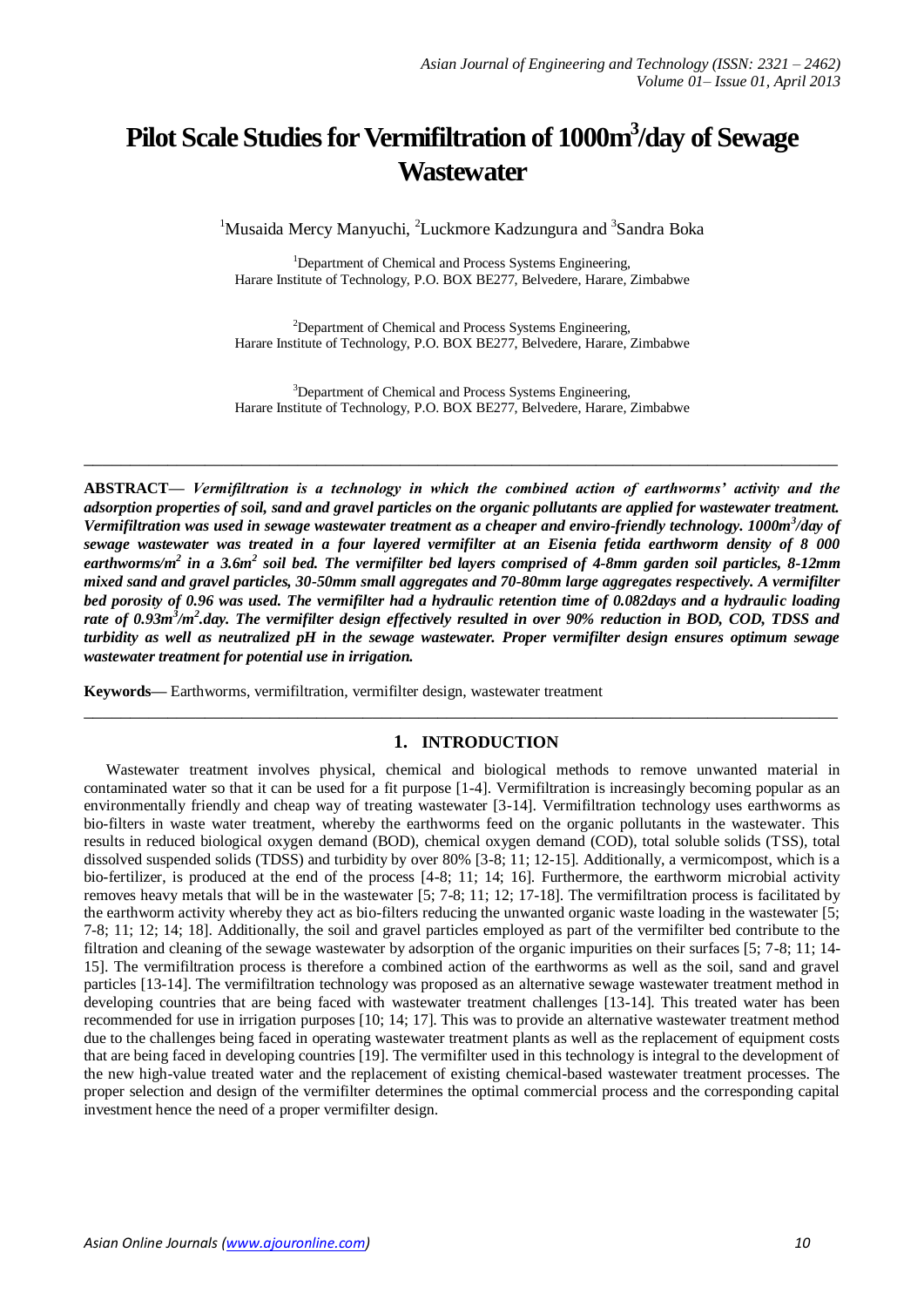# **Pilot Scale Studies for Vermifiltration of 1000m<sup>3</sup> /day of Sewage Wastewater**

<sup>1</sup>Musaida Mercy Manyuchi, <sup>2</sup>Luckmore Kadzungura and <sup>3</sup>Sandra Boka

<sup>1</sup>Department of Chemical and Process Systems Engineering, Harare Institute of Technology, P.O. BOX BE277, Belvedere, Harare, Zimbabwe

<sup>2</sup>Department of Chemical and Process Systems Engineering, Harare Institute of Technology, P.O. BOX BE277, Belvedere, Harare, Zimbabwe

<sup>3</sup>Department of Chemical and Process Systems Engineering, Harare Institute of Technology, P.O. BOX BE277, Belvedere, Harare, Zimbabwe

**\_\_\_\_\_\_\_\_\_\_\_\_\_\_\_\_\_\_\_\_\_\_\_\_\_\_\_\_\_\_\_\_\_\_\_\_\_\_\_\_\_\_\_\_\_\_\_\_\_\_\_\_\_\_\_\_\_\_\_\_\_\_\_\_\_\_\_\_\_\_\_\_\_\_\_\_\_\_\_\_\_**

**ABSTRACT—** *Vermifiltration is a technology in which the combined action of earthworms' activity and the adsorption properties of soil, sand and gravel particles on the organic pollutants are applied for wastewater treatment.*  Vermifiltration was used in sewage wastewater treatment as a cheaper and enviro-friendly technology. 1000m<sup>3</sup>/day of *sewage wastewater was treated in a four layered vermifilter at an Eisenia fetida earthworm density of 8 000*  earthworms/m<sup>2</sup> in a 3.6m<sup>2</sup> soil bed. The vermifilter bed layers comprised of 4-8mm garden soil particles, 8-12mm *mixed sand and gravel particles, 30-50mm small aggregates and 70-80mm large aggregates respectively. A vermifilter bed porosity of 0.96 was used. The vermifilter had a hydraulic retention time of 0.082days and a hydraulic loading rate of 0.93m<sup>3</sup> /m<sup>2</sup> .day. The vermifilter design effectively resulted in over 90% reduction in BOD, COD, TDSS and turbidity as well as neutralized pH in the sewage wastewater. Proper vermifilter design ensures optimum sewage wastewater treatment for potential use in irrigation.*

**Keywords—** Earthworms, vermifiltration, vermifilter design, wastewater treatment

## **1. INTRODUCTION**

**\_\_\_\_\_\_\_\_\_\_\_\_\_\_\_\_\_\_\_\_\_\_\_\_\_\_\_\_\_\_\_\_\_\_\_\_\_\_\_\_\_\_\_\_\_\_\_\_\_\_\_\_\_\_\_\_\_\_\_\_\_\_\_\_\_\_\_\_\_\_\_\_\_\_\_\_\_\_\_\_\_**

Wastewater treatment involves physical, chemical and biological methods to remove unwanted material in contaminated water so that it can be used for a fit purpose [1-4]. Vermifiltration is increasingly becoming popular as an environmentally friendly and cheap way of treating wastewater [3-14]. Vermifiltration technology uses earthworms as bio-filters in waste water treatment, whereby the earthworms feed on the organic pollutants in the wastewater. This results in reduced biological oxygen demand (BOD), chemical oxygen demand (COD), total soluble solids (TSS), total dissolved suspended solids (TDSS) and turbidity by over 80% [3-8; 11; 12-15]. Additionally, a vermicompost, which is a bio-fertilizer, is produced at the end of the process [4-8; 11; 14; 16]. Furthermore, the earthworm microbial activity removes heavy metals that will be in the wastewater [5; 7-8; 11; 12; 17-18]. The vermifiltration process is facilitated by the earthworm activity whereby they act as bio-filters reducing the unwanted organic waste loading in the wastewater [5; 7-8; 11; 12; 14; 18]. Additionally, the soil and gravel particles employed as part of the vermifilter bed contribute to the filtration and cleaning of the sewage wastewater by adsorption of the organic impurities on their surfaces [5; 7-8; 11; 14- 15]. The vermifiltration process is therefore a combined action of the earthworms as well as the soil, sand and gravel particles [13-14]. The vermifiltration technology was proposed as an alternative sewage wastewater treatment method in developing countries that are being faced with wastewater treatment challenges [13-14]. This treated water has been recommended for use in irrigation purposes [10; 14; 17]. This was to provide an alternative wastewater treatment method due to the challenges being faced in operating wastewater treatment plants as well as the replacement of equipment costs that are being faced in developing countries [19]. The vermifilter used in this technology is integral to the development of the new high-value treated water and the replacement of existing chemical-based wastewater treatment processes. The proper selection and design of the vermifilter determines the optimal commercial process and the corresponding capital investment hence the need of a proper vermifilter design.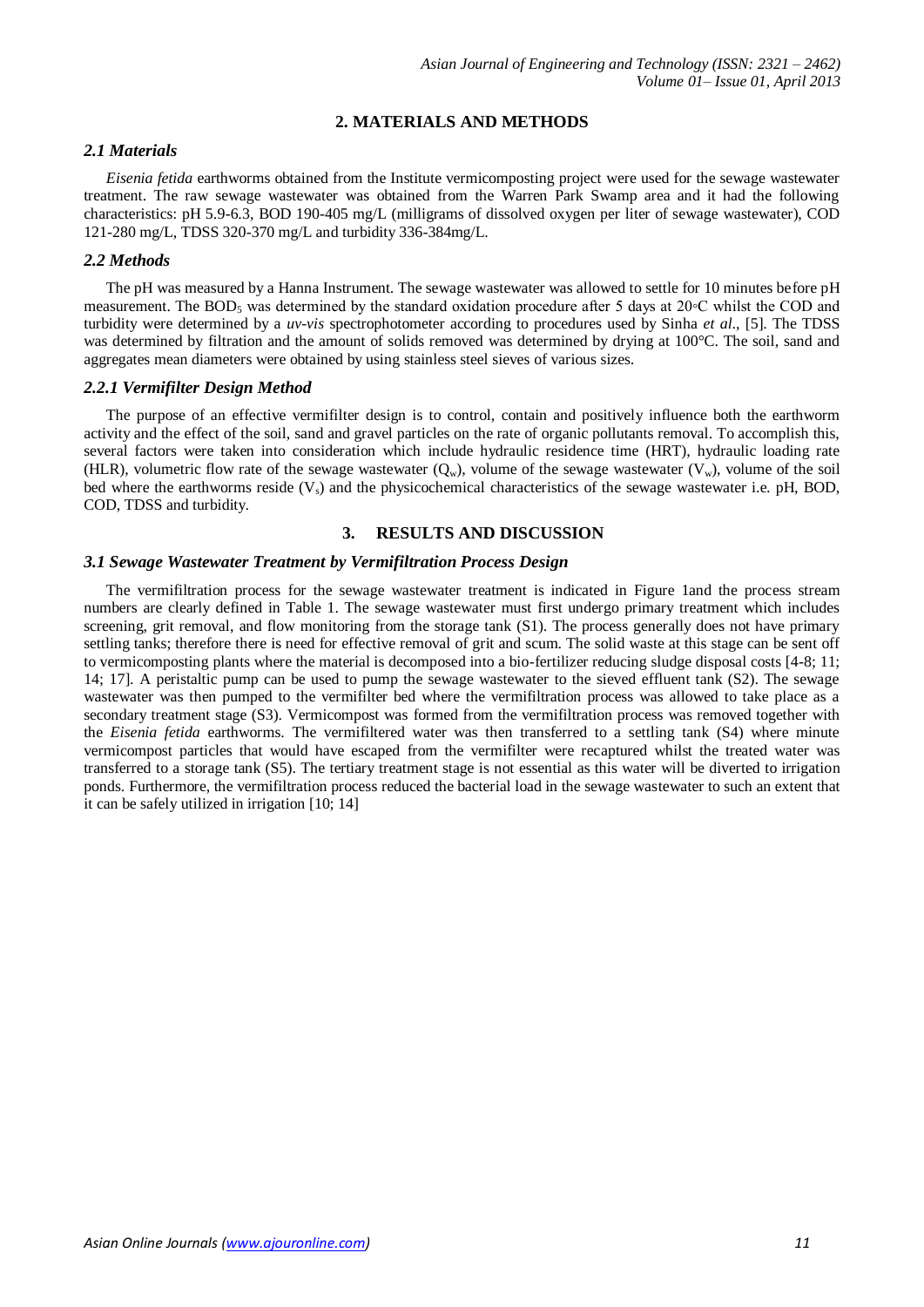# **2. MATERIALS AND METHODS**

# *2.1 Materials*

*Eisenia fetida* earthworms obtained from the Institute vermicomposting project were used for the sewage wastewater treatment. The raw sewage wastewater was obtained from the Warren Park Swamp area and it had the following characteristics: pH 5.9-6.3, BOD 190-405 mg/L (milligrams of dissolved oxygen per liter of sewage wastewater), COD 121-280 mg/L, TDSS 320-370 mg/L and turbidity 336-384mg/L.

#### *2.2 Methods*

The pH was measured by a Hanna Instrument. The sewage wastewater was allowed to settle for 10 minutes before pH measurement. The BOD<sub>5</sub> was determined by the standard oxidation procedure after 5 days at 20∘C whilst the COD and turbidity were determined by a *uv-vis* spectrophotometer according to procedures used by Sinha *et al*., [5]. The TDSS was determined by filtration and the amount of solids removed was determined by drying at 100°C. The soil, sand and aggregates mean diameters were obtained by using stainless steel sieves of various sizes.

#### *2.2.1 Vermifilter Design Method*

The purpose of an effective vermifilter design is to control, contain and positively influence both the earthworm activity and the effect of the soil, sand and gravel particles on the rate of organic pollutants removal. To accomplish this, several factors were taken into consideration which include hydraulic residence time (HRT), hydraulic loading rate (HLR), volumetric flow rate of the sewage wastewater  $(Q_w)$ , volume of the sewage wastewater  $(V_w)$ , volume of the soil bed where the earthworms reside  $(V_s)$  and the physicochemical characteristics of the sewage wastewater i.e. pH, BOD, COD, TDSS and turbidity.

## **3. RESULTS AND DISCUSSION**

#### *3.1 Sewage Wastewater Treatment by Vermifiltration Process Design*

The vermifiltration process for the sewage wastewater treatment is indicated in Figure 1and the process stream numbers are clearly defined in Table 1. The sewage wastewater must first undergo primary treatment which includes screening, grit removal, and flow monitoring from the storage tank (S1). The process generally does not have primary settling tanks; therefore there is need for effective removal of grit and scum. The solid waste at this stage can be sent off to vermicomposting plants where the material is decomposed into a bio-fertilizer reducing sludge disposal costs [4-8; 11; 14; 17]. A peristaltic pump can be used to pump the sewage wastewater to the sieved effluent tank (S2). The sewage wastewater was then pumped to the vermifilter bed where the vermifiltration process was allowed to take place as a secondary treatment stage (S3). Vermicompost was formed from the vermifiltration process was removed together with the *Eisenia fetida* earthworms. The vermifiltered water was then transferred to a settling tank (S4) where minute vermicompost particles that would have escaped from the vermifilter were recaptured whilst the treated water was transferred to a storage tank (S5). The tertiary treatment stage is not essential as this water will be diverted to irrigation ponds. Furthermore, the vermifiltration process reduced the bacterial load in the sewage wastewater to such an extent that it can be safely utilized in irrigation [10; 14]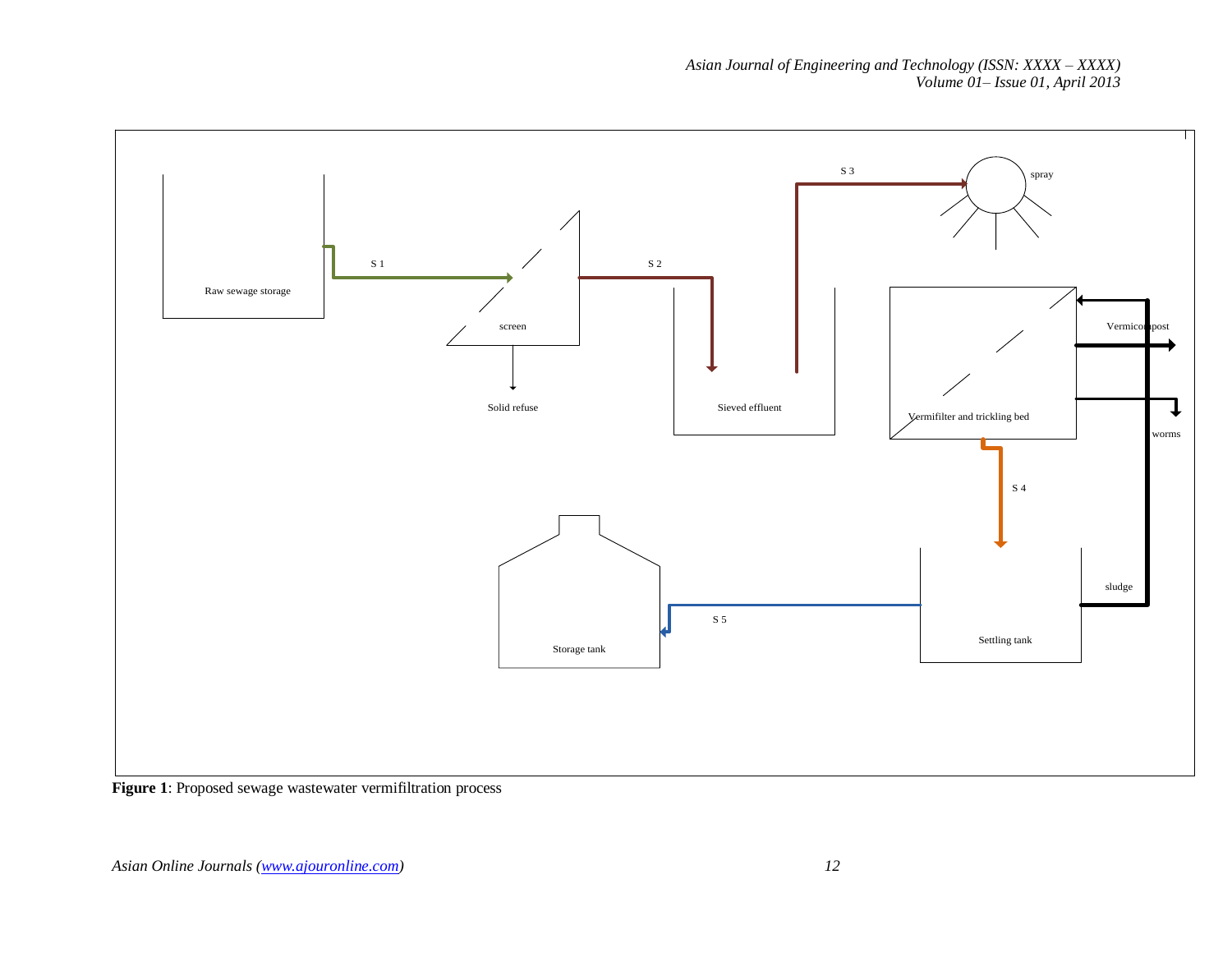*Asian Journal of Engineering and Technology (ISSN: XXXX – XXXX) Volume 01– Issue 01, April 2013*



Figure 1: Proposed sewage wastewater vermifiltration process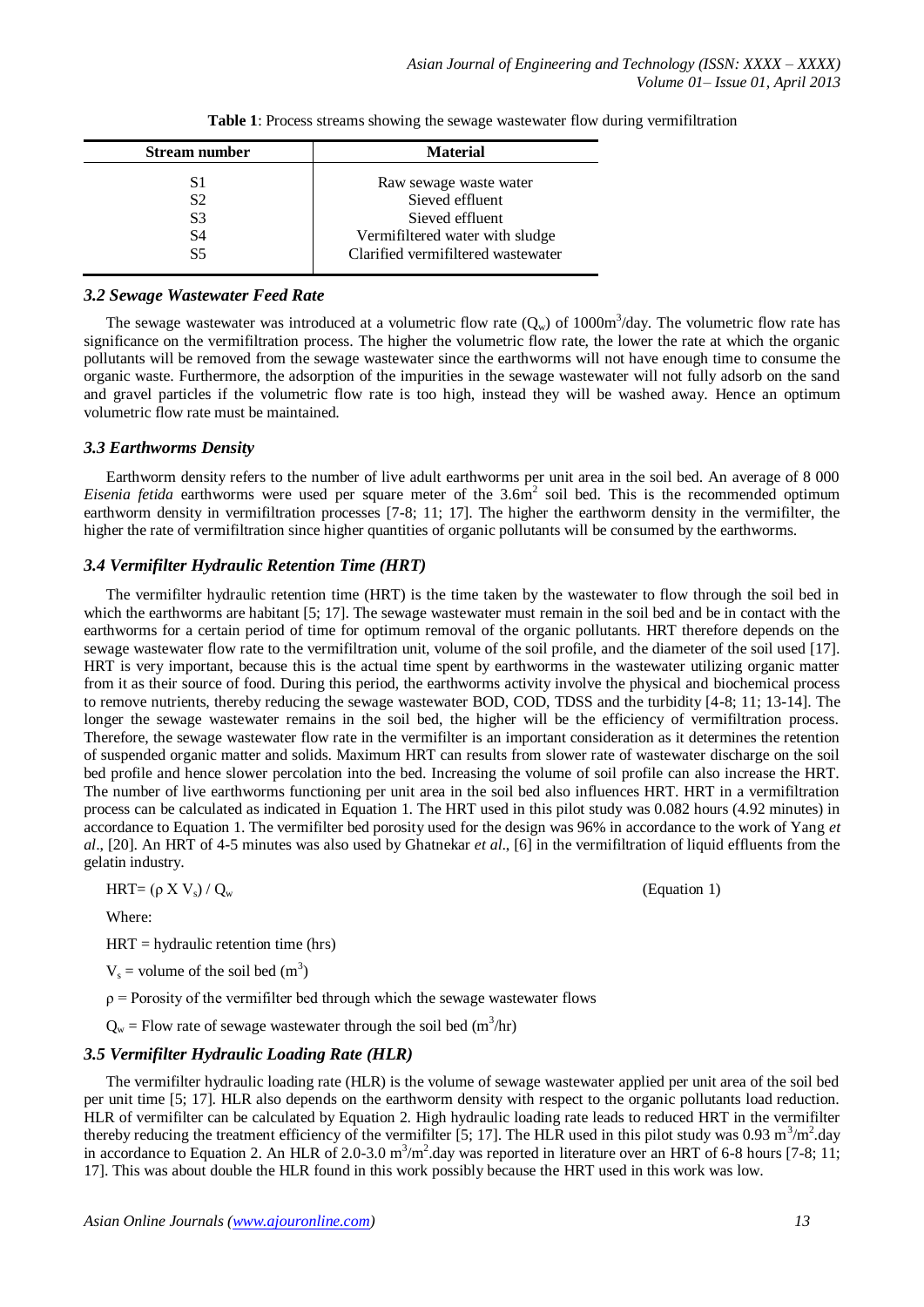| <b>Material</b>                    |
|------------------------------------|
| Raw sewage waste water             |
| Sieved effluent                    |
| Sieved effluent                    |
| Vermifiltered water with sludge    |
| Clarified vermifiltered wastewater |
|                                    |

**Table 1**: Process streams showing the sewage wastewater flow during vermifiltration

#### *3.2 Sewage Wastewater Feed Rate*

The sewage wastewater was introduced at a volumetric flow rate  $(Q_w)$  of 1000 $m^3$ /day. The volumetric flow rate has significance on the vermifiltration process. The higher the volumetric flow rate, the lower the rate at which the organic pollutants will be removed from the sewage wastewater since the earthworms will not have enough time to consume the organic waste. Furthermore, the adsorption of the impurities in the sewage wastewater will not fully adsorb on the sand and gravel particles if the volumetric flow rate is too high, instead they will be washed away. Hence an optimum volumetric flow rate must be maintained.

# *3.3 Earthworms Density*

Earthworm density refers to the number of live adult earthworms per unit area in the soil bed. An average of 8 000 Eisenia fetida earthworms were used per square meter of the 3.6m<sup>2</sup> soil bed. This is the recommended optimum earthworm density in vermifiltration processes [7-8; 11; 17]. The higher the earthworm density in the vermifilter, the higher the rate of vermifiltration since higher quantities of organic pollutants will be consumed by the earthworms.

# *3.4 Vermifilter Hydraulic Retention Time (HRT)*

The vermifilter hydraulic retention time (HRT) is the time taken by the wastewater to flow through the soil bed in which the earthworms are habitant [5; 17]. The sewage wastewater must remain in the soil bed and be in contact with the earthworms for a certain period of time for optimum removal of the organic pollutants. HRT therefore depends on the sewage wastewater flow rate to the vermifiltration unit, volume of the soil profile, and the diameter of the soil used [17]. HRT is very important, because this is the actual time spent by earthworms in the wastewater utilizing organic matter from it as their source of food. During this period, the earthworms activity involve the physical and biochemical process to remove nutrients, thereby reducing the sewage wastewater BOD, COD, TDSS and the turbidity [4-8; 11; 13-14]. The longer the sewage wastewater remains in the soil bed, the higher will be the efficiency of vermifiltration process. Therefore, the sewage wastewater flow rate in the vermifilter is an important consideration as it determines the retention of suspended organic matter and solids. Maximum HRT can results from slower rate of wastewater discharge on the soil bed profile and hence slower percolation into the bed. Increasing the volume of soil profile can also increase the HRT. The number of live earthworms functioning per unit area in the soil bed also influences HRT. HRT in a vermifiltration process can be calculated as indicated in Equation 1. The HRT used in this pilot study was 0.082 hours (4.92 minutes) in accordance to Equation 1. The vermifilter bed porosity used for the design was 96% in accordance to the work of Yang *et al*., [20]. An HRT of 4-5 minutes was also used by Ghatnekar *et al*., [6] in the vermifiltration of liquid effluents from the gelatin industry.

$$
HRT = (\rho X V_s) / Q_w
$$

Where:

 $HRT = hydraulic retention time (hrs)$ 

 $V_s$  = volume of the soil bed  $(m^3)$ 

 $\rho$  = Porosity of the vermifilter bed through which the sewage wastewater flows

 $Q_w$  = Flow rate of sewage wastewater through the soil bed (m<sup>3</sup>/hr)

# *3.5 Vermifilter Hydraulic Loading Rate (HLR)*

The vermifilter hydraulic loading rate (HLR) is the volume of sewage wastewater applied per unit area of the soil bed per unit time [5; 17]. HLR also depends on the earthworm density with respect to the organic pollutants load reduction. HLR of vermifilter can be calculated by Equation 2. High hydraulic loading rate leads to reduced HRT in the vermifilter thereby reducing the treatment efficiency of the vermifilter [5; 17]. The HLR used in this pilot study was 0.93 m<sup>3</sup>/m<sup>2</sup>.day in accordance to Equation 2. An HLR of 2.0-3.0  $m^3/m^2$  day was reported in literature over an HRT of 6-8 hours [7-8; 11; 17]. This was about double the HLR found in this work possibly because the HRT used in this work was low.

(Equation 1)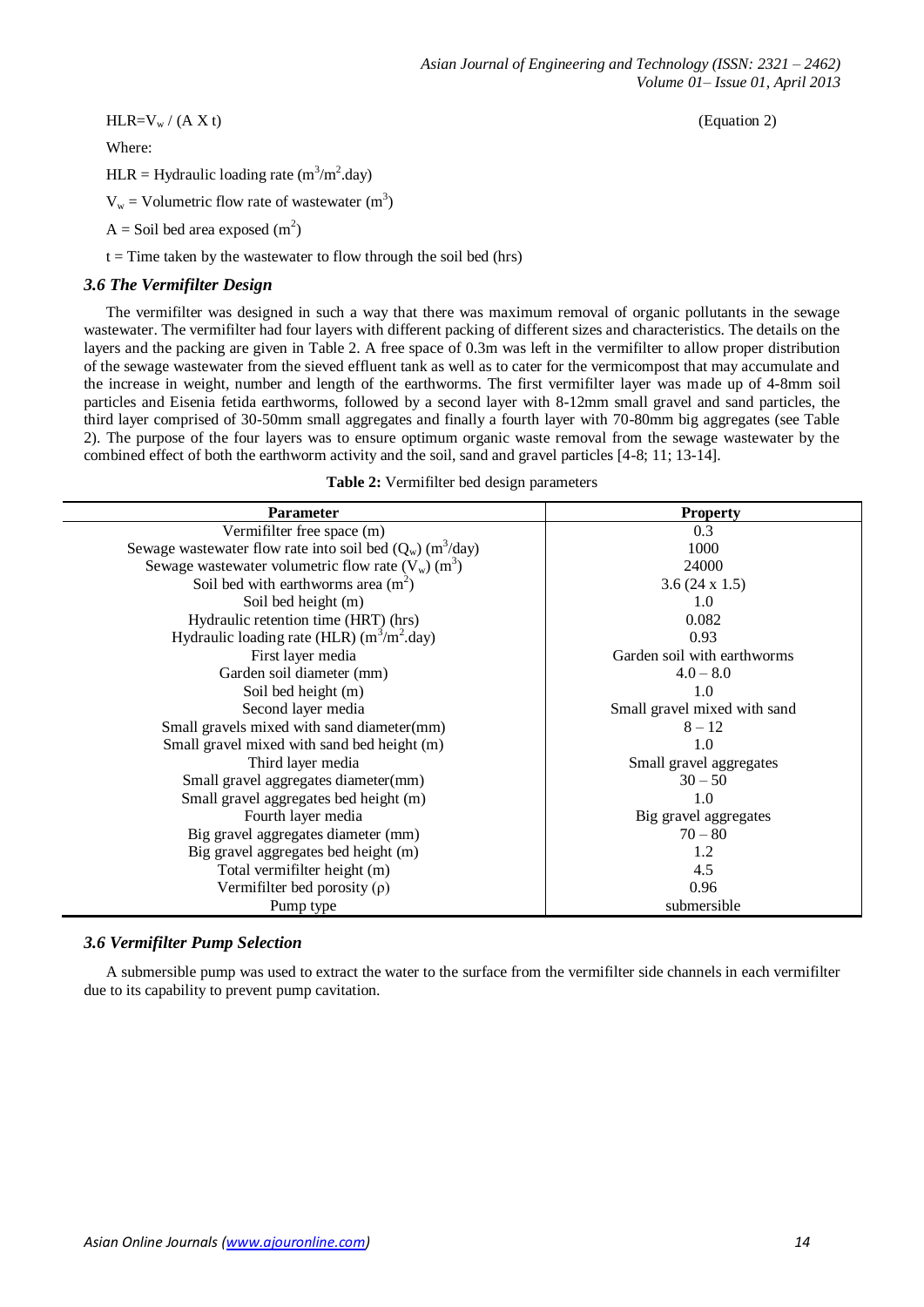$HLR=V_w/(A X t)$  (Equation 2)

Where:

HLR = Hydraulic loading rate  $(m^3/m^2 \text{.day})$ 

 $V_w$  = Volumetric flow rate of wastewater (m<sup>3</sup>)

 $A =$  Soil bed area exposed  $(m<sup>2</sup>)$ 

 $t =$ Time taken by the wastewater to flow through the soil bed (hrs)

## *3.6 The Vermifilter Design*

The vermifilter was designed in such a way that there was maximum removal of organic pollutants in the sewage wastewater. The vermifilter had four layers with different packing of different sizes and characteristics. The details on the layers and the packing are given in Table 2. A free space of 0.3m was left in the vermifilter to allow proper distribution of the sewage wastewater from the sieved effluent tank as well as to cater for the vermicompost that may accumulate and the increase in weight, number and length of the earthworms. The first vermifilter layer was made up of 4-8mm soil particles and Eisenia fetida earthworms, followed by a second layer with 8-12mm small gravel and sand particles, the third layer comprised of 30-50mm small aggregates and finally a fourth layer with 70-80mm big aggregates (see Table 2). The purpose of the four layers was to ensure optimum organic waste removal from the sewage wastewater by the combined effect of both the earthworm activity and the soil, sand and gravel particles [4-8; 11; 13-14].

| Table 2: Vermifilter bed design parameters |  |
|--------------------------------------------|--|
|--------------------------------------------|--|

| <b>Parameter</b>                                                        | <b>Property</b>              |  |
|-------------------------------------------------------------------------|------------------------------|--|
| Vermifilter free space (m)                                              | 0.3                          |  |
| Sewage wastewater flow rate into soil bed $(Q_w)$ (m <sup>3</sup> /day) | 1000                         |  |
| Sewage wastewater volumetric flow rate $(V_w)(m^3)$                     | 24000                        |  |
| Soil bed with earthworms area $(m2)$                                    | $3.6(24 \times 1.5)$         |  |
| Soil bed height (m)                                                     | 1.0                          |  |
| Hydraulic retention time (HRT) (hrs)                                    | 0.082                        |  |
| Hydraulic loading rate (HLR) $(m^3/m^2 \text{.day})$                    | 0.93                         |  |
| First layer media                                                       | Garden soil with earthworms  |  |
| Garden soil diameter (mm)                                               | $4.0 - 8.0$                  |  |
| Soil bed height (m)                                                     | 1.0                          |  |
| Second layer media                                                      | Small gravel mixed with sand |  |
| Small gravels mixed with sand diameter(mm)                              | $8 - 12$                     |  |
| Small gravel mixed with sand bed height (m)                             | 1.0                          |  |
| Third layer media                                                       | Small gravel aggregates      |  |
| Small gravel aggregates diameter(mm)                                    | $30 - 50$                    |  |
| Small gravel aggregates bed height (m)                                  | 1.0                          |  |
| Fourth layer media                                                      | Big gravel aggregates        |  |
| Big gravel aggregates diameter (mm)                                     | $70 - 80$                    |  |
| Big gravel aggregates bed height (m)                                    | 1.2                          |  |
| Total vermifilter height (m)                                            | 4.5                          |  |
| Vermifilter bed porosity $(\rho)$                                       | 0.96                         |  |
| Pump type                                                               | submersible                  |  |

#### *3.6 Vermifilter Pump Selection*

A submersible pump was used to extract the water to the surface from the vermifilter side channels in each vermifilter due to its capability to prevent pump cavitation.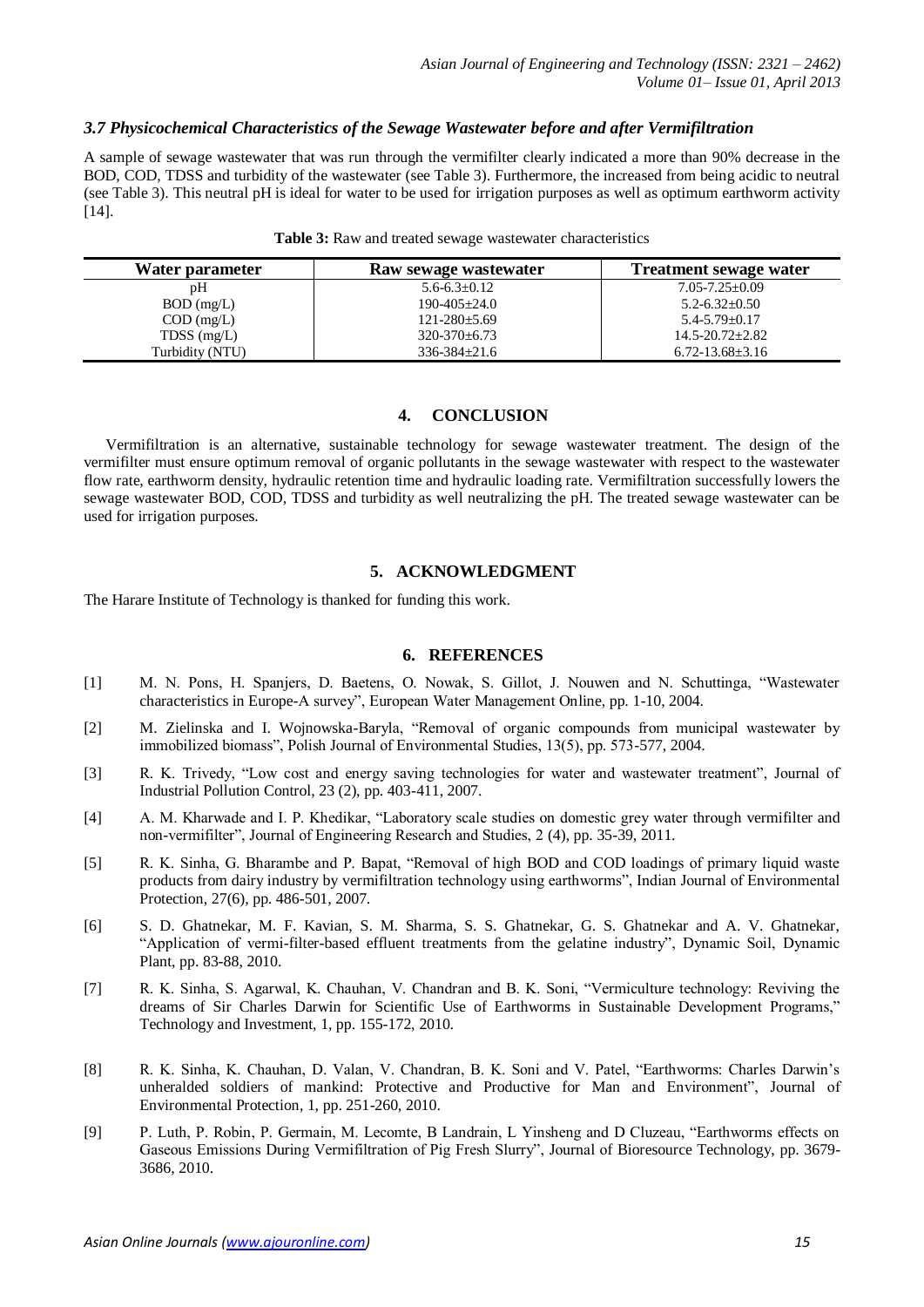# *3.7 Physicochemical Characteristics of the Sewage Wastewater before and after Vermifiltration*

A sample of sewage wastewater that was run through the vermifilter clearly indicated a more than 90% decrease in the BOD, COD, TDSS and turbidity of the wastewater (see Table 3). Furthermore, the increased from being acidic to neutral (see Table 3). This neutral pH is ideal for water to be used for irrigation purposes as well as optimum earthworm activity [14].

| Water parameter | Raw sewage wastewater | <b>Treatment sewage water</b> |
|-----------------|-----------------------|-------------------------------|
| pΗ              | $5.6 - 6.3 \pm 0.12$  | $7.05 - 7.25 + 0.09$          |
| $BOD$ (mg/L)    | $190 - 405 + 24.0$    | $5.2 - 6.32 \pm 0.50$         |
| $COD$ (mg/L)    | $121 - 280 \pm 5.69$  | $5.4 - 5.79 + 0.17$           |
| TDSS $(mg/L)$   | $320 - 370 \pm 6.73$  | $14.5 - 20.72 \pm 2.82$       |
| Turbidity (NTU) | $336 - 384 \pm 21.6$  | $6.72 - 13.68 \pm 3.16$       |

| Table 3: Raw and treated sewage wastewater characteristics |  |  |  |
|------------------------------------------------------------|--|--|--|
|------------------------------------------------------------|--|--|--|

## **4. CONCLUSION**

Vermifiltration is an alternative, sustainable technology for sewage wastewater treatment. The design of the vermifilter must ensure optimum removal of organic pollutants in the sewage wastewater with respect to the wastewater flow rate, earthworm density, hydraulic retention time and hydraulic loading rate. Vermifiltration successfully lowers the sewage wastewater BOD, COD, TDSS and turbidity as well neutralizing the pH. The treated sewage wastewater can be used for irrigation purposes.

# **5. ACKNOWLEDGMENT**

The Harare Institute of Technology is thanked for funding this work.

## **6. REFERENCES**

- [1] M. N. Pons, H. Spanjers, D. Baetens, O. Nowak, S. Gillot, J. Nouwen and N. Schuttinga, "Wastewater characteristics in Europe-A survey", European Water Management Online, pp. 1-10, 2004.
- [2] M. Zielinska and I. Wojnowska-Baryla, "Removal of organic compounds from municipal wastewater by immobilized biomass", Polish Journal of Environmental Studies, 13(5), pp. 573-577, 2004.
- [3] R. K. Trivedy, "Low cost and energy saving technologies for water and wastewater treatment", Journal of Industrial Pollution Control, 23 (2), pp. 403-411, 2007.
- [4] A. M. Kharwade and I. P. Khedikar, "Laboratory scale studies on domestic grey water through vermifilter and non-vermifilter", Journal of Engineering Research and Studies, 2 (4), pp. 35-39, 2011.
- [5] R. K. Sinha, G. Bharambe and P. Bapat, "Removal of high BOD and COD loadings of primary liquid waste products from dairy industry by vermifiltration technology using earthworms", Indian Journal of Environmental Protection, 27(6), pp. 486-501, 2007.
- [6] S. D. Ghatnekar, M. F. Kavian, S. M. Sharma, S. S. Ghatnekar, G. S. Ghatnekar and A. V. Ghatnekar, "Application of vermi-filter-based effluent treatments from the gelatine industry", Dynamic Soil, Dynamic Plant, pp. 83-88, 2010.
- [7] R. K. Sinha, S. Agarwal, K. Chauhan, V. Chandran and B. K. Soni, "Vermiculture technology: Reviving the dreams of Sir Charles Darwin for Scientific Use of Earthworms in Sustainable Development Programs," Technology and Investment, 1, pp. 155-172, 2010.
- [8] R. K. Sinha, K. Chauhan, D. Valan, V. Chandran, B. K. Soni and V. Patel, "Earthworms: Charles Darwin's unheralded soldiers of mankind: Protective and Productive for Man and Environment", Journal of Environmental Protection, 1, pp. 251-260, 2010.
- [9] P. Luth, P. Robin, P. Germain, M. Lecomte, B Landrain, L Yinsheng and D Cluzeau, "Earthworms effects on Gaseous Emissions During Vermifiltration of Pig Fresh Slurry", Journal of Bioresource Technology, pp. 3679- 3686, 2010.